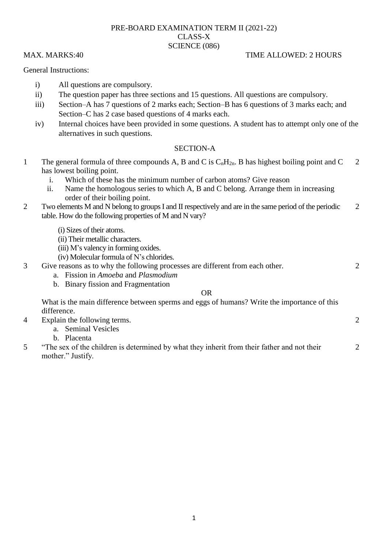# PRE-BOARD EXAMINATION TERM II (2021-22) CLASS-X SCIENCE (086)

## General Instructions:

- i) All questions are compulsory.
- ii) The question paper has three sections and 15 questions. All questions are compulsory.
- iii) Section–A has 7 questions of 2 marks each; Section–B has 6 questions of 3 marks each; and Section–C has 2 case based questions of 4 marks each.
- iv) Internal choices have been provided in some questions. A student has to attempt only one of the alternatives in such questions.

## SECTION-A

- 1 The general formula of three compounds A, B and C is  $C_nH_{2n}$ . B has highest boiling point and C has lowest boiling point. 2
	- i. Which of these has the minimum number of carbon atoms? Give reason
	- ii. Name the homologous series to which A, B and C belong. Arrange them in increasing order of their boiling point.
- 2 Two elements M and N belong to groups I and II respectively and are in the same period of the periodic table. How do the following properties of M and N vary?  $\mathcal{L}$ 
	- (i) Sizes of their atoms.
	- (ii) Their metallic characters.
	- (iii) M"s valency in forming oxides.
	- (iv) Molecular formula of N"s chlorides.
- 3 Give reasons as to why the following processes are different from each other.
	- a. Fission in *Amoeba* and *Plasmodium*
	- b. Binary fission and Fragmentation

## OR

What is the main difference between sperms and eggs of humans? Write the importance of this difference.

- 4 Explain the following terms.
	- a. Seminal Vesicles

b. Placenta

5 "The sex of the children is determined by what they inherit from their father and not their mother." Justify.

# MAX. MARKS:40 TIME ALLOWED: 2 HOURS

 $\mathcal{D}_{\alpha}$ 

2

 $\mathfrak{D}$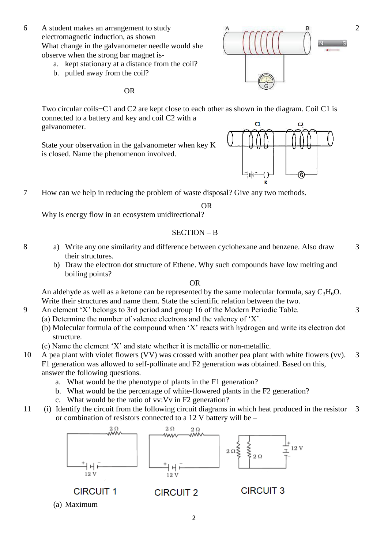- 6 A student makes an arrangement to study electromagnetic induction, as shown What change in the galvanometer needle would she observe when the strong bar magnet is
	- a. kept stationary at a distance from the coil?
	- b. pulled away from the coil?

OR

Two circular coils−C1 and C2 are kept close to each other as shown in the diagram. Coil C1 is connected to a battery and key and coil C2 with a  $C<sub>1</sub>$  $C<sub>2</sub>$ galvanometer.

State your observation in the galvanometer when key K is closed. Name the phenomenon involved.



7 How can we help in reducing the problem of waste disposal? Give any two methods.

OR

Why is energy flow in an ecosystem unidirectional?

## SECTION – B

- 8 a) Write any one similarity and difference between cyclohexane and benzene. Also draw their structures.
	- b) Draw the electron dot structure of Ethene. Why such compounds have low melting and boiling points?

## OR

An aldehyde as well as a ketone can be represented by the same molecular formula, say  $C_3H_6O$ . Write their structures and name them. State the scientific relation between the two.

- 9 An element "X" belongs to 3rd period and group 16 of the Modern Periodic Table.
	- (a) Determine the number of valence electrons and the valency of "X".
	- (b) Molecular formula of the compound when "X" reacts with hydrogen and write its electron dot structure.
	- (c) Name the element "X" and state whether it is metallic or non-metallic.
- 10 A pea plant with violet flowers (VV) was crossed with another pea plant with white flowers (vv). F1 generation was allowed to self-pollinate and F2 generation was obtained. Based on this, answer the following questions. 3
	- a. What would be the phenotype of plants in the F1 generation?
	- b. What would be the percentage of white-flowered plants in the F2 generation?
	- c. What would be the ratio of vv:Vv in F2 generation?
- 11 (i) Identify the circuit from the following circuit diagrams in which heat produced in the resistor or combination of resistors connected to a 12 V battery will be – 3



(a) Maximum

3

3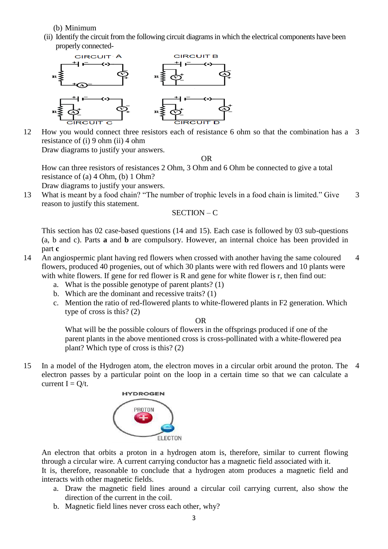(b) Minimum

(ii) Identify the circuit from the following circuit diagrams in which the electrical components have been properly connected-



12 How you would connect three resistors each of resistance 6 ohm so that the combination has a 3 resistance of (i) 9 ohm (ii) 4 ohm Draw diagrams to justify your answers.

OR

How can three resistors of resistances 2 Ohm, 3 Ohm and 6 Ohm be connected to give a total resistance of (a) 4 Ohm, (b) 1 Ohm?

Draw diagrams to justify your answers.

13 What is meant by a food chain? "The number of trophic levels in a food chain is limited." Give reason to justify this statement. 3

## SECTION – C

This section has 02 case-based questions (14 and 15). Each case is followed by 03 sub-questions (a, b and c). Parts **a** and **b** are compulsory. However, an internal choice has been provided in part **c**

- 14 An angiospermic plant having red flowers when crossed with another having the same coloured flowers, produced 40 progenies, out of which 30 plants were with red flowers and 10 plants were with white flowers. If gene for red flower is R and gene for white flower is r, then find out: 4
	- a. What is the possible genotype of parent plants? (1)
	- b. Which are the dominant and recessive traits? (1)
	- c. Mention the ratio of red-flowered plants to white-flowered plants in F2 generation. Which type of cross is this? (2)

### OR

What will be the possible colours of flowers in the offsprings produced if one of the parent plants in the above mentioned cross is cross-pollinated with a white-flowered pea plant? Which type of cross is this? (2)

15 In a model of the Hydrogen atom, the electron moves in a circular orbit around the proton. The 4electron passes by a particular point on the loop in a certain time so that we can calculate a current  $I = Q/t$ .



An electron that orbits a proton in a hydrogen atom is, therefore, similar to current flowing through a circular wire. A current carrying conductor has a magnetic field associated with it.

It is, therefore, reasonable to conclude that a hydrogen atom produces a magnetic field and interacts with other magnetic fields.

- a. Draw the magnetic field lines around a circular coil carrying current, also show the direction of the current in the coil.
- b. Magnetic field lines never cross each other, why?